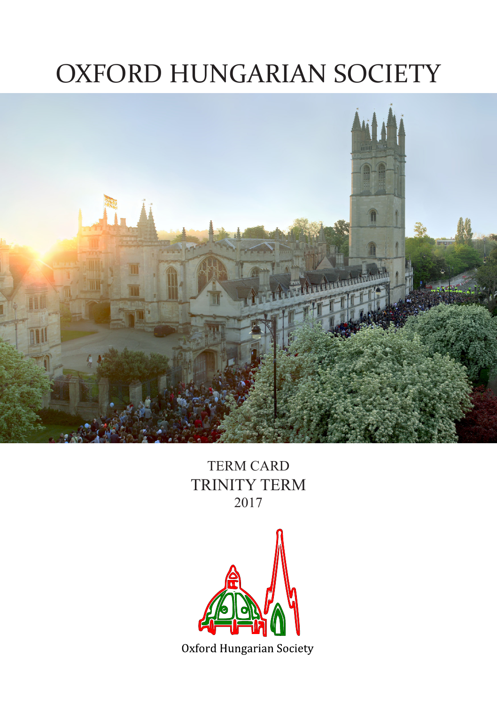# OXFORD HUNGARIAN SOCIETY



TERM CARD TRINITY TERM 2017

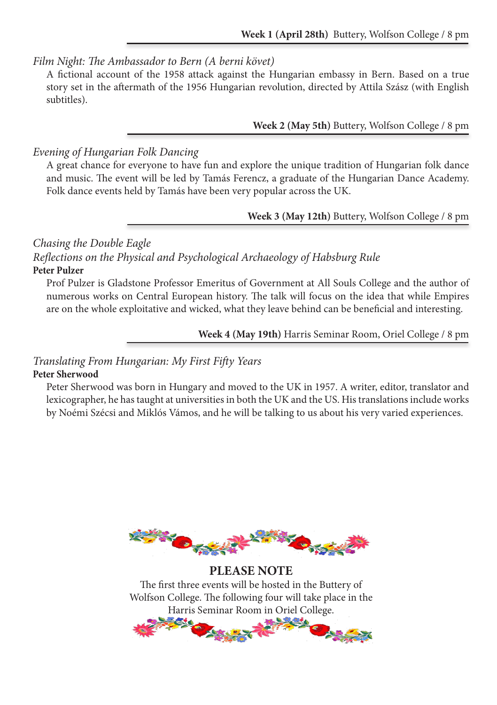#### *Film Night: The Ambassador to Bern (A berni követ)*

A fictional account of the 1958 attack against the Hungarian embassy in Bern. Based on a true story set in the aftermath of the 1956 Hungarian revolution, directed by Attila Szász (with English subtitles).

**Week 2 (May 5th)** Buttery, Wolfson College / 8 pm

#### *Evening of Hungarian Folk Dancing*

A great chance for everyone to have fun and explore the unique tradition of Hungarian folk dance and music. The event will be led by Tamás Ferencz, a graduate of the Hungarian Dance Academy. Folk dance events held by Tamás have been very popular across the UK.

#### **Week 3 (May 12th)** Buttery, Wolfson College / 8 pm

*Chasing the Double Eagle*

*Reflections on the Physical and Psychological Archaeology of Habsburg Rule* **Peter Pulzer**

Prof Pulzer is Gladstone Professor Emeritus of Government at All Souls College and the author of numerous works on Central European history. The talk will focus on the idea that while Empires are on the whole exploitative and wicked, what they leave behind can be beneficial and interesting.

**Week 4 (May 19th)** Harris Seminar Room, Oriel College / 8 pm

# *Translating From Hungarian: My First Fifty Years*

#### **Peter Sherwood**

Peter Sherwood was born in Hungary and moved to the UK in 1957. A writer, editor, translator and lexicographer, he has taught at universities in both the UK and the US. His translations include works by Noémi Szécsi and Miklós Vámos, and he will be talking to us about his very varied experiences.



**PLEASE NOTE** The first three events will be hosted in the Buttery of Wolfson College. The following four will take place in the Harris Seminar Room in Oriel College.

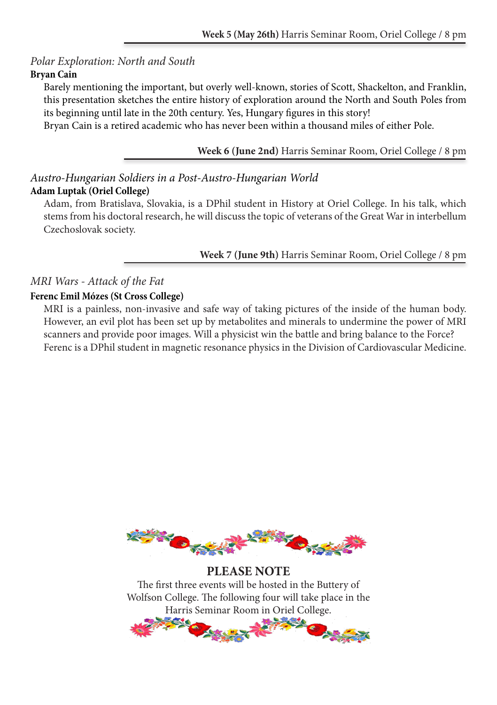# *Polar Exploration: North and South*

## **Bryan Cain**

Barely mentioning the important, but overly well-known, stories of Scott, Shackelton, and Franklin, this presentation sketches the entire history of exploration around the North and South Poles from its beginning until late in the 20th century. Yes, Hungary figures in this story!

Bryan Cain is a retired academic who has never been within a thousand miles of either Pole.

## **Week 6 (June 2nd)** Harris Seminar Room, Oriel College / 8 pm

# *Austro-Hungarian Soldiers in a Post-Austro-Hungarian World* **Adam Luptak (Oriel College)**

Adam, from Bratislava, Slovakia, is a DPhil student in History at Oriel College. In his talk, which stems from his doctoral research, he will discuss the topic of veterans of the Great War in interbellum Czechoslovak society.

**Week 7 (June 9th)** Harris Seminar Room, Oriel College / 8 pm

# *MRI Wars - Attack of the Fat*

# **Ferenc Emil Mózes (St Cross College)**

MRI is a painless, non-invasive and safe way of taking pictures of the inside of the human body. However, an evil plot has been set up by metabolites and minerals to undermine the power of MRI scanners and provide poor images. Will a physicist win the battle and bring balance to the Force? Ferenc is a DPhil student in magnetic resonance physics in the Division of Cardiovascular Medicine.